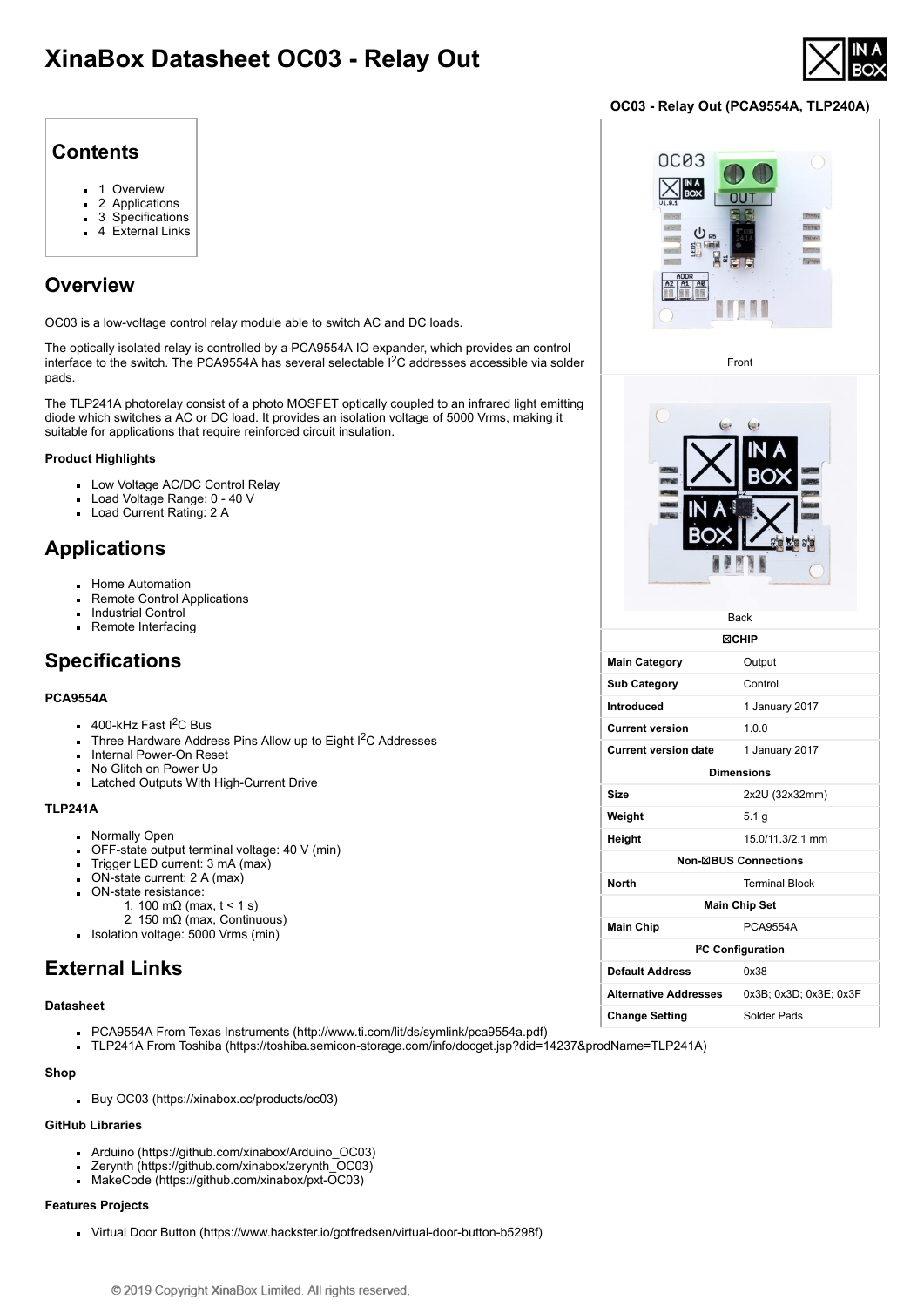# **XinaBox Datasheet OC03 - Relay Out**



### **OC03 - Relay Out (PCA9554A, TLP240A)**

### **Contents**

- $\blacksquare$ [1 Overview](#page-0-0)
- [2 Applications](#page-0-1)
- [3 Specifications](#page-0-2)
- [4 External Links](#page-0-3)

# <span id="page-0-0"></span>**Overview**

OC03 is a low-voltage control relay module able to switch AC and DC loads.

The optically isolated relay is controlled by a PCA9554A IO expander, which provides an control interface to the switch. The PCA9554A has several selectable I<sup>2</sup>C addresses accessible via solder pads.

The TLP241A photorelay consist of a photo MOSFET optically coupled to an infrared light emitting diode which switches a AC or DC load. It provides an isolation voltage of 5000 Vrms, making it suitable for applications that require reinforced circuit insulation.

#### **Product Highlights**

- Low Voltage AC/DC Control Relay
- Load Voltage Range: 0 40 V
- Load Current Rating: 2 A

### <span id="page-0-1"></span>**Applications**

- **Home Automation**
- Remote Control Applications
- Industrial Control
- Remote Interfacing

# <span id="page-0-2"></span>**Specifications**

#### **PCA9554A**

- $400$ -kHz Fast I<sup>2</sup>C Bus
- Three Hardware Address Pins Allow up to Eight  $1^2C$  Addresses
- **Internal Power-On Reset**
- No Glitch on Power Up
- **Latched Outputs With High-Current Drive**

### **TLP241A**

- **Normally Open**
- OFF-state output terminal voltage: 40 V (min)
- $\blacksquare$  Trigger LED current: 3 mA (max)
- ON-state current: 2 A (max)
- ON-state resistance:
	- 1. 100 mΩ (max,  $t < 1$  s)
- 2. 150 mΩ (max, Continuous) Isolation voltage: 5000 Vrms (min)

## <span id="page-0-3"></span>**External Links**

#### **Datasheet**

- PCA9554A From Texas Instruments (http://www.ti.com/lit/ds/symlink/po
- TLP241A From Toshiba (https://toshiba.semicon-storage.com/info/docget

#### **Shop**

[Buy OC03 \(https://xinabox.cc/products/oc03\)](https://xinabox.cc/products/oc03)

#### **GitHub Libraries**

- [Arduino \(https://github.com/xinabox/Arduino\\_OC03\)](https://github.com/xinabox/Arduino_OC03)
- [Zerynth \(https://github.com/xinabox/zerynth\\_OC03\)](https://github.com/xinabox/zerynth_OC03)
- [MakeCode \(https://github.com/xinabox/pxt-OC03\)](https://github.com/xinabox/pxt-OC03)

### **Features Projects**

[Virtual Door Button \(https://www.hackster.io/gotfredsen/virtual-door-button-b5298f\)](https://www.hackster.io/gotfredsen/virtual-door-button-b5298f)

|                                                     | <b>Change Setting</b> | Solder Pads |
|-----------------------------------------------------|-----------------------|-------------|
| ca9554a.pdf)<br>get.jsp?did=14237&prodName=TLP241A) |                       |             |
|                                                     |                       |             |
|                                                     |                       |             |
|                                                     |                       |             |
|                                                     |                       |             |
|                                                     |                       |             |
| ton_h5208f\                                         |                       |             |



**Height** 15.0/11.3/2.1 mm **Non-**☒**BUS Connections**

**North** Terminal Block

Main Chip<br>
PCA9554A

**Default Address** 0x38

**Main Chip Set**

**I²C Configuration**

**Alternative Addresses** 0x3B; 0x3D; 0x3E; 0x3F